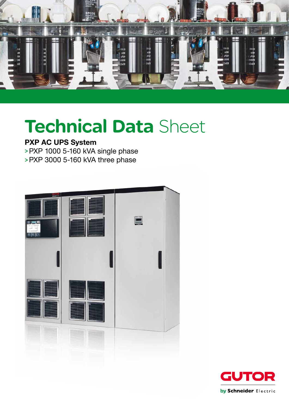

# Technical Data Sheet

# PXP AC UPS System

>PXP 1000 5-160 kVA single phase

>PXP 3000 5-160 kVA three phase



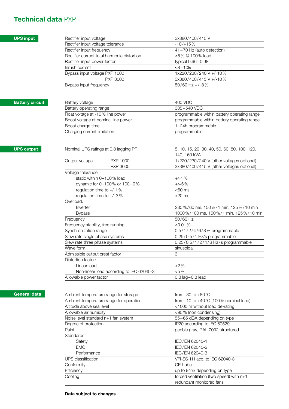## Technical data PXP

## UPS input

UPS output

Battery circuit

| Rectifier input voltage                                           | 3x380/400/415V                               |
|-------------------------------------------------------------------|----------------------------------------------|
| Rectifier input voltage tolerance                                 | $-10/+15%$                                   |
| Rectifier input frequency                                         | 41-70 Hz (auto detection)                    |
| Rectifier current total harmonic distortion                       | <5% @ 100% load                              |
| Rectifier input power factor                                      | typical 0.96-0.98                            |
| Inrush current                                                    | $≤8-10ln$                                    |
| Bypass input voltage PXP 1000                                     | 1x220/230/240 V +/-10%                       |
| <b>PXP 3000</b>                                                   | 3x380/400/415V+/-10%                         |
| Bypass input frequency                                            | $50/60$ Hz +/-8%                             |
| Battery voltage                                                   | 400 VDC                                      |
| Battery operating range                                           | 335-540 VDC                                  |
| Float voltage at -10% line power                                  | programmable within battery operating range  |
| Boost voltage at nominal line power                               | programmable within battery operating range  |
| Boost charge time                                                 | 1-24h programmable                           |
| Charging current limitation                                       | programmable                                 |
|                                                                   |                                              |
| Nominal UPS ratings at 0.8 lagging PF                             | 5, 10, 15, 20, 30, 40, 50, 60, 80, 100, 120, |
|                                                                   | 140, 160 kVA                                 |
| Output voltage<br>PXP 1000                                        | 1x220/230/240 V (other voltages optional)    |
| <b>PXP 3000</b>                                                   | 3x380/400/415 V (other voltages optional)    |
| Voltage tolerance:                                                |                                              |
| static within 0-100% load                                         | $+/-1%$                                      |
| dynamic for 0-100% or 100-0%                                      | $+/-5%$                                      |
| regulation time to +/-1%                                          | $<$ 60 ms                                    |
| regulation time to $+/-3\%$                                       | $<$ 20 $\,$ ms                               |
| Overload:                                                         |                                              |
| Inverter                                                          | 230%/60 ms, 150%/1 min, 125%/10 min          |
| <b>Bypass</b>                                                     |                                              |
| Frequency                                                         | 50/60 Hz                                     |
| Frequency stability, free running                                 | $<$ 0.01 $\%$                                |
| Synchronization range                                             | 0.5/1/2/4/6/8% programmable                  |
| Slew rate single phase systems                                    | 0.25/0.5/1 Hz/s programmable                 |
| Slew rate three phase systems                                     | 0.25/0.5/1/2/4/6 Hz/s programmable           |
|                                                                   | sinusoidal                                   |
|                                                                   | 3                                            |
| Wave form<br>Admissible output crest factor<br>Distortion factor: |                                              |
| Linear load                                                       | 1000%/100 ms, 150%/1 min, 125%/10 min<br>2%  |
| Non-linear load according to IEC 62040-3                          | $< 5\%$                                      |

## General data

| Ambient temperature range for storage   | from -30 to $+80^{\circ}$ C                     |
|-----------------------------------------|-------------------------------------------------|
| Ambient temperature range for operation | from -10 to $+40^{\circ}$ C (100% nominal load) |
| Altitude above sea level                | <1000 m without load de-rating                  |
| Allowable air humidity                  | <95% (non condensing)                           |
| Noise level standard n+1 fan system     | 55-65 dBA depending on type                     |
| Degree of protection                    | IP20 according to IEC 60529                     |
| Paint                                   | pebble gray, RAL 7032 structured                |
| Standards:                              |                                                 |
| Safety                                  | IEC/EN 62040-1                                  |
| <b>EMC</b>                              | IEC/EN 62040-2                                  |
| Performance                             | IEC/EN 62040-3                                  |
| UPS classification                      | VFI-SS-111 acc. to IEC 62040-3                  |
| Conformity                              | CE-Label                                        |
| Efficiency                              | up to 94% depending on type                     |
| Cooling                                 | forced ventilation (two speed) with $n+1$       |
|                                         | redundant monitored fans                        |

#### Data subject to changes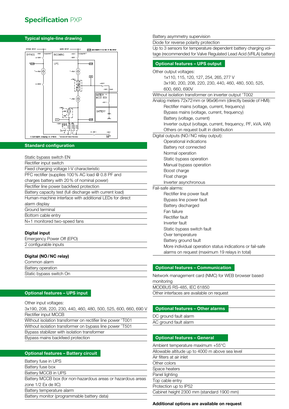# **Specification PXP**

#### Typical single-line drawing



#### Standard configuration

| Static bypass switch EN                                  |
|----------------------------------------------------------|
| Rectifier input switch                                   |
| Fixed charging voltage I-V characteristic                |
| PFC rectifier (supplies 100% AC load @ 0.8 PF and        |
| charges battery with 20% of nominal power)               |
| Rectifier line power backfeed protection                 |
| Battery capacity test (full discharge with current load) |
| Human-machine interface with additional LEDs for direct  |
| alarm display                                            |
| Ground terminal                                          |
| Bottom cable entry                                       |
| N+1 monitored two-speed fans                             |
|                                                          |
| Dialial innut                                            |

#### Digital input

| Emergency Power Off (EPO) |  |
|---------------------------|--|
| 2 configurable inputs     |  |

#### Digital (NO/NC relay)

| Common alarm            |  |
|-------------------------|--|
| Battery operation       |  |
| Static bypass switch On |  |
|                         |  |

#### Optional features – UPS input

Other input voltages: 3x190, 208, 220, 230, 440, 460, 480, 500, 525, 600, 660, 690 V Rectifier input MCCB Without isolation transformer on rectifier line power ^T001 Without isolation transformer on bypass line power ^T501 Bypass stabilizer with isolation transformer Bypass mains backfeed protection

#### Optional features – Battery circuit

| Battery fuse in UPS                                          |
|--------------------------------------------------------------|
| Battery fuse box                                             |
| Battery MCCB in UPS                                          |
| Battery MCCB box (for non-hazardous areas or hazardous areas |
| zone 1/2 Ex de IIC)                                          |
| Battery temperature alarm                                    |
| Battery monitor (programmable battery data)                  |
|                                                              |

#### Battery asymmetry supervision

Diode for reverse polarity protection

Up to 3 sensors for temperature dependent battery charging voltage (recommended for Valve Regulated Lead Acid (VRLA) battery)

#### Optional features – UPS output

Other output voltages:

1x110, 115, 120, 127, 254, 265, 277 V

 3x190, 200, 208, 220, 230, 440, 460, 480, 500, 525, 600, 660, 690V

Without isolation transformer on inverter output ^T002

Analog meters 72x72mm or 96x96mm (directly beside of HMI): Rectifier mains (voltage, current, frequency)

Bypass mains (voltage, current, frequency)

Battery (voltage, current)

Inverter output (voltage, current, frequency, PF, kVA, kW)

Others on request built in distribution

Digital outputs (NO/NC relay output):

Operational indications Battery not connected

Normal operation

Static bypass operation

Manual bypass operation

- Boost charge
- Float charge

Inverter asynchronous

Fail-safe alarms:

Rectifier line power fault

Bypass line power fault

Battery discharged

Fan failure

- Rectifier fault
- Inverter fault
- Static bypass switch fault
- Over temperature
- Battery ground fault
- More individual operation status indications or fail-safe alarms on request (maximum 19 relays in total)

#### Optional features – Communication

Network management card (NMC) for WEB browser based

monitoring MODBUS RS-485, IEC 61850

Other interfaces are available on request

### Optional features – Other alarms

DC ground fault alarm

#### Optional features – General

| Ambient temperature maximum +55°C               |
|-------------------------------------------------|
| Allowable altitude up to 4000 m above sea level |
| Air filters at air inlet                        |
| Other colors                                    |
| Space heaters                                   |
| Panel lighting                                  |
| Top cable entry                                 |
| Protection up to IP52                           |
| Cabinet height 2300 mm (standard 1900 mm)       |

#### Additional options are available on request

AC ground fault alarm